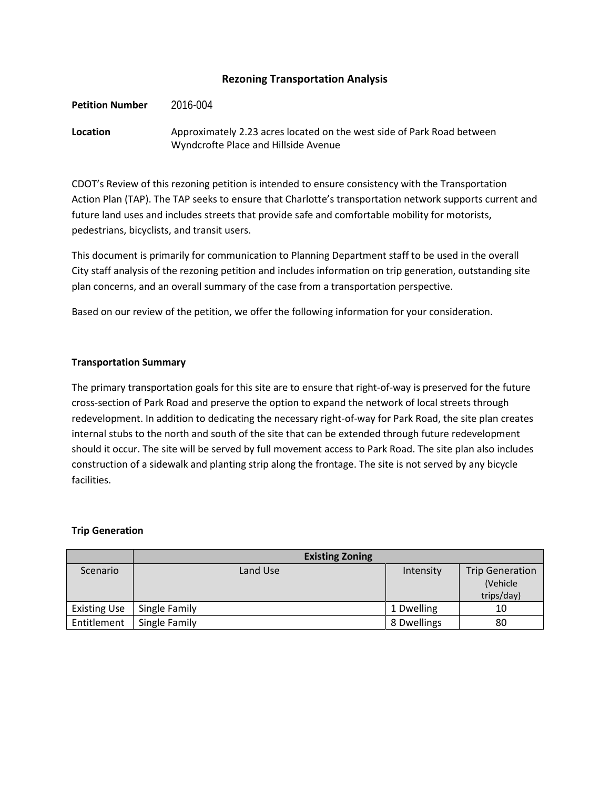### **Rezoning Transportation Analysis**

#### **Petition Number** 2016-004

## **Location** Approximately 2.23 acres located on the west side of Park Road between Wyndcrofte Place and Hillside Avenue

CDOT's Review of this rezoning petition is intended to ensure consistency with the Transportation Action Plan (TAP). The TAP seeks to ensure that Charlotte's transportation network supports current and future land uses and includes streets that provide safe and comfortable mobility for motorists, pedestrians, bicyclists, and transit users.

This document is primarily for communication to Planning Department staff to be used in the overall City staff analysis of the rezoning petition and includes information on trip generation, outstanding site plan concerns, and an overall summary of the case from a transportation perspective.

Based on our review of the petition, we offer the following information for your consideration.

#### **Transportation Summary**

The primary transportation goals for this site are to ensure that right-of-way is preserved for the future cross-section of Park Road and preserve the option to expand the network of local streets through redevelopment. In addition to dedicating the necessary right-of-way for Park Road, the site plan creates internal stubs to the north and south of the site that can be extended through future redevelopment should it occur. The site will be served by full movement access to Park Road. The site plan also includes construction of a sidewalk and planting strip along the frontage. The site is not served by any bicycle facilities.

#### **Trip Generation**

|                     | <b>Existing Zoning</b> |             |                        |
|---------------------|------------------------|-------------|------------------------|
| Scenario            | Land Use               | Intensity   | <b>Trip Generation</b> |
|                     |                        |             | (Vehicle)              |
|                     |                        |             | trips/day)             |
| <b>Existing Use</b> | Single Family          | 1 Dwelling  | 10                     |
| Entitlement         | Single Family          | 8 Dwellings | 80                     |